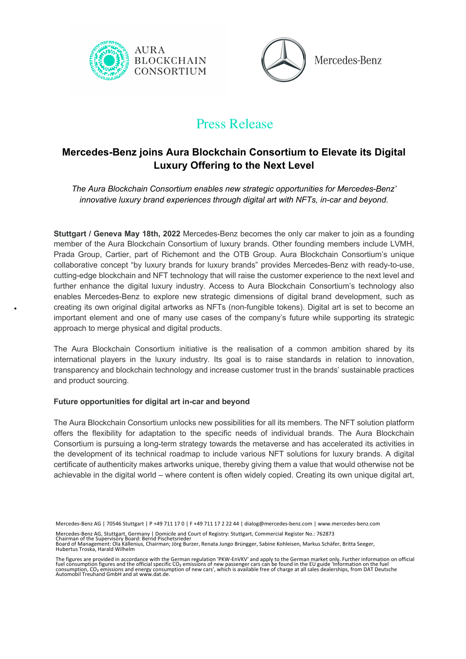



# Press Release

# **Mercedes-Benz joins Aura Blockchain Consortium to Elevate its Digital Luxury Offering to the Next Level**

*The Aura Blockchain Consortium enables new strategic opportunities for Mercedes-Benz' innovative luxury brand experiences through digital art with NFTs, in-car and beyond.* 

**Stuttgart / Geneva May 18th, 2022** Mercedes-Benz becomes the only car maker to join as a founding member of the Aura Blockchain Consortium of luxury brands. Other founding members include LVMH, Prada Group, Cartier, part of Richemont and the OTB Group. Aura Blockchain Consortium's unique collaborative concept "by luxury brands for luxury brands" provides Mercedes-Benz with ready-to-use, cutting-edge blockchain and NFT technology that will raise the customer experience to the next level and further enhance the digital luxury industry. Access to Aura Blockchain Consortium's technology also enables Mercedes-Benz to explore new strategic dimensions of digital brand development, such as creating its own original digital artworks as NFTs (non-fungible tokens). Digital art is set to become an important element and one of many use cases of the company's future while supporting its strategic approach to merge physical and digital products.

The Aura Blockchain Consortium initiative is the realisation of a common ambition shared by its international players in the luxury industry. Its goal is to raise standards in relation to innovation, transparency and blockchain technology and increase customer trust in the brands' sustainable practices and product sourcing.

## **Future opportunities for digital art in-car and beyond**

The Aura Blockchain Consortium unlocks new possibilities for all its members. The NFT solution platform offers the flexibility for adaptation to the specific needs of individual brands. The Aura Blockchain Consortium is pursuing a long-term strategy towards the metaverse and has accelerated its activities in the development of its technical roadmap to include various NFT solutions for luxury brands. A digital certificate of authenticity makes artworks unique, thereby giving them a value that would otherwise not be achievable in the digital world – where content is often widely copied. Creating its own unique digital art,

Mercedes-Benz AG | 70546 Stuttgart | P +49 711 17 0 | F +49 711 17 2 22 44 | dialog@mercedes-benz.com | www.mercedes-benz.com

Mercedes-Benz AG, Stuttgart, Germany | Domicile and Court of Registry: Stuttgart, Commercial Register No.: 762873<br>Chairman of the Supervisory Board: Bernd Pischetsrieder<br>Board of Management: Ola Källenius, Chairman; Jörg B Hubertus Troska, Harald Wilhelm

The figures are provided in accordance with the German regulation 'PKW-EnVKV' and apply to the German market only. Further information on official<br>fuel consumption figures and the official specific CO<sub>2</sub> emissions of new p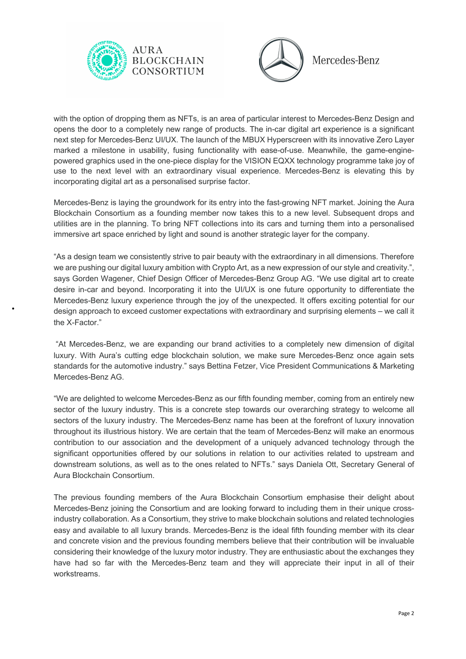



with the option of dropping them as NFTs, is an area of particular interest to Mercedes-Benz Design and opens the door to a completely new range of products. The in-car digital art experience is a significant next step for Mercedes-Benz UI/UX. The launch of the MBUX Hyperscreen with its innovative Zero Layer marked a milestone in usability, fusing functionality with ease-of-use. Meanwhile, the game-enginepowered graphics used in the one-piece display for the VISION EQXX technology programme take joy of use to the next level with an extraordinary visual experience. Mercedes-Benz is elevating this by incorporating digital art as a personalised surprise factor.

Mercedes-Benz is laying the groundwork for its entry into the fast-growing NFT market. Joining the Aura Blockchain Consortium as a founding member now takes this to a new level. Subsequent drops and utilities are in the planning. To bring NFT collections into its cars and turning them into a personalised immersive art space enriched by light and sound is another strategic layer for the company.

"As a design team we consistently strive to pair beauty with the extraordinary in all dimensions. Therefore we are pushing our digital luxury ambition with Crypto Art, as a new expression of our style and creativity.", says Gorden Wagener, Chief Design Officer of Mercedes-Benz Group AG. "We use digital art to create desire in-car and beyond. Incorporating it into the UI/UX is one future opportunity to differentiate the Mercedes-Benz luxury experience through the joy of the unexpected. It offers exciting potential for our design approach to exceed customer expectations with extraordinary and surprising elements – we call it the X-Factor."

"At Mercedes-Benz, we are expanding our brand activities to a completely new dimension of digital luxury. With Aura's cutting edge blockchain solution, we make sure Mercedes-Benz once again sets standards for the automotive industry." says Bettina Fetzer, Vice President Communications & Marketing Mercedes-Benz AG.

"We are delighted to welcome Mercedes-Benz as our fifth founding member, coming from an entirely new sector of the luxury industry. This is a concrete step towards our overarching strategy to welcome all sectors of the luxury industry. The Mercedes-Benz name has been at the forefront of luxury innovation throughout its illustrious history. We are certain that the team of Mercedes-Benz will make an enormous contribution to our association and the development of a uniquely advanced technology through the significant opportunities offered by our solutions in relation to our activities related to upstream and downstream solutions, as well as to the ones related to NFTs." says Daniela Ott, Secretary General of Aura Blockchain Consortium.

The previous founding members of the Aura Blockchain Consortium emphasise their delight about Mercedes-Benz joining the Consortium and are looking forward to including them in their unique crossindustry collaboration. As a Consortium, they strive to make blockchain solutions and related technologies easy and available to all luxury brands. Mercedes-Benz is the ideal fifth founding member with its clear and concrete vision and the previous founding members believe that their contribution will be invaluable considering their knowledge of the luxury motor industry. They are enthusiastic about the exchanges they have had so far with the Mercedes-Benz team and they will appreciate their input in all of their workstreams.